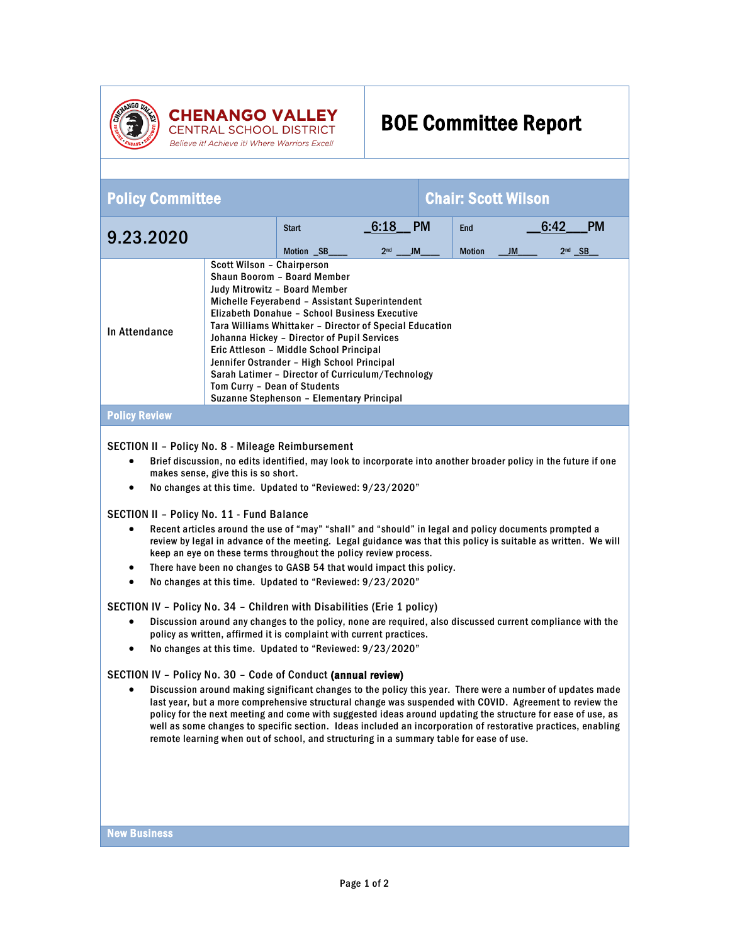

## **CHENANGO VALLEY CENTRAL SCHOOL DISTRICT Believe itl Achieve itl Where Warriors Excell**

## BOE Committee Report

| <b>Policy Committee</b> |                                                                                                                                                                                                                                                                                                                                                                                                                                                                                                                                    |                                |                                             | <b>Chair: Scott Wilson</b> |                             |         |                      |           |
|-------------------------|------------------------------------------------------------------------------------------------------------------------------------------------------------------------------------------------------------------------------------------------------------------------------------------------------------------------------------------------------------------------------------------------------------------------------------------------------------------------------------------------------------------------------------|--------------------------------|---------------------------------------------|----------------------------|-----------------------------|---------|----------------------|-----------|
| 9.23.2020               |                                                                                                                                                                                                                                                                                                                                                                                                                                                                                                                                    | <b>Start</b><br>Motion _SB____ | $\_6:18$ PM<br>2 <sub>nd</sub><br><b>JM</b> |                            | <b>End</b><br><b>Motion</b> | $\_$ JM | 6.42<br>$2nd$ $\_SB$ | <b>PM</b> |
| In Attendance           | Scott Wilson - Chairperson<br>Shaun Boorom - Board Member<br>Judy Mitrowitz - Board Member<br>Michelle Feyerabend - Assistant Superintendent<br>Elizabeth Donahue - School Business Executive<br>Tara Williams Whittaker - Director of Special Education<br>Johanna Hickey - Director of Pupil Services<br>Eric Attleson - Middle School Principal<br>Jennifer Ostrander - High School Principal<br>Sarah Latimer - Director of Curriculum/Technology<br>Tom Curry - Dean of Students<br>Suzanne Stephenson - Elementary Principal |                                |                                             |                            |                             |         |                      |           |
| <b>Policy Review</b>    |                                                                                                                                                                                                                                                                                                                                                                                                                                                                                                                                    |                                |                                             |                            |                             |         |                      |           |
|                         |                                                                                                                                                                                                                                                                                                                                                                                                                                                                                                                                    |                                |                                             |                            |                             |         |                      |           |

## SECTION II – Policy No. 8 - Mileage Reimbursement

- Brief discussion, no edits identified, may look to incorporate into another broader policy in the future if one makes sense, give this is so short.
- No changes at this time. Updated to "Reviewed: 9/23/2020"

SECTION II – Policy No. 11 - Fund Balance

- Recent articles around the use of "may" "shall" and "should" in legal and policy documents prompted a review by legal in advance of the meeting. Legal guidance was that this policy is suitable as written. We will keep an eye on these terms throughout the policy review process.
- There have been no changes to GASB 54 that would impact this policy.
- No changes at this time. Updated to "Reviewed: 9/23/2020"

SECTION IV – Policy No. 34 – Children with Disabilities (Erie 1 policy)

- Discussion around any changes to the policy, none are required, also discussed current compliance with the policy as written, affirmed it is complaint with current practices.
- No changes at this time. Updated to "Reviewed: 9/23/2020"

## SECTION IV – Policy No. 30 – Code of Conduct (annual review)

• Discussion around making significant changes to the policy this year. There were a number of updates made last year, but a more comprehensive structural change was suspended with COVID. Agreement to review the policy for the next meeting and come with suggested ideas around updating the structure for ease of use, as well as some changes to specific section. Ideas included an incorporation of restorative practices, enabling remote learning when out of school, and structuring in a summary table for ease of use.

New Business